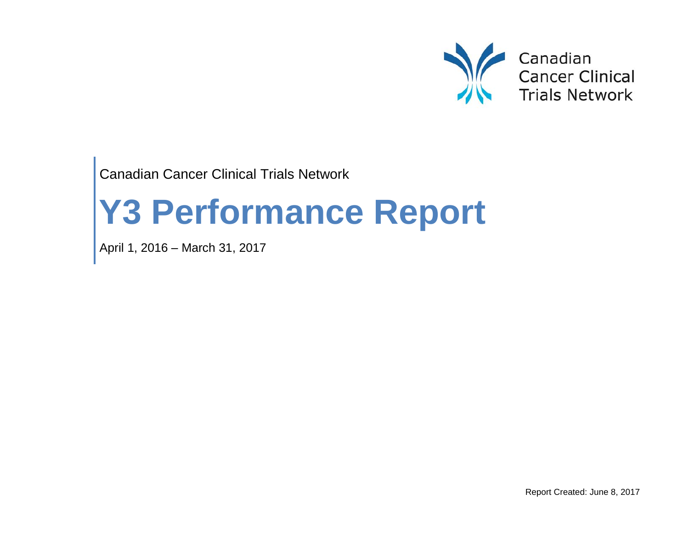

Canadian Cancer Clinical Trials Network

# **Y3 Performance Report**

April 1, 2016 – March 31, 2017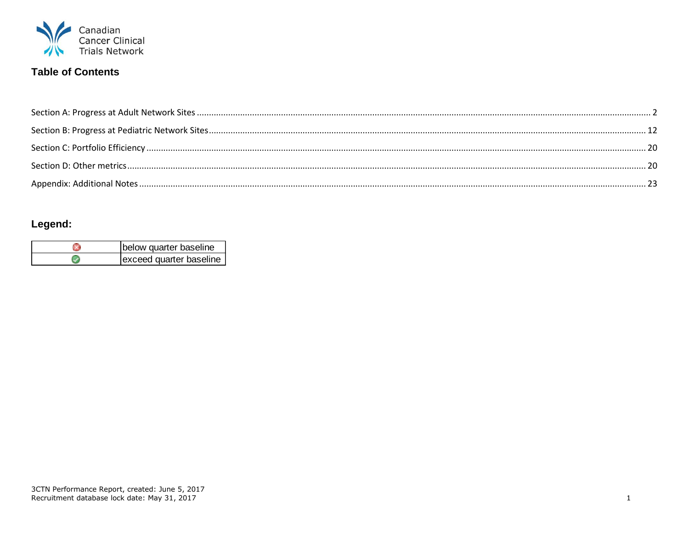

# **Table of Contents**

# Legend:

| below quarter baseline  |  |  |  |  |
|-------------------------|--|--|--|--|
| exceed quarter baseline |  |  |  |  |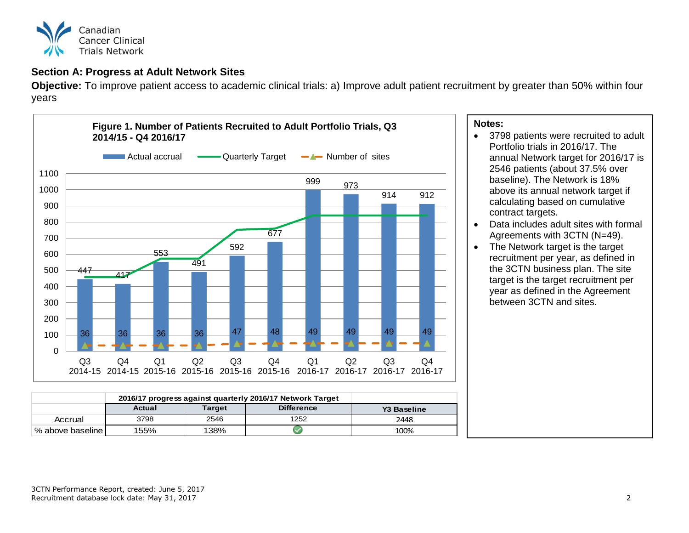

# <span id="page-2-0"></span>**Section A: Progress at Adult Network Sites**

**Objective:** To improve patient access to academic clinical trials: a) Improve adult patient recruitment by greater than 50% within four years



|                    | 2016/17 progress against quarterly 2016/17 Network Target |               |                   |                    |
|--------------------|-----------------------------------------------------------|---------------|-------------------|--------------------|
|                    | Actual                                                    | <b>Target</b> | <b>Difference</b> | <b>Y3 Baseline</b> |
| Accrual            | 3798                                                      | 2546          | 1252              | 2448               |
| % above baseline l | 155%                                                      | 138%          |                   | 100%               |

### **Notes:**

- 3798 patients were recruited to adult Portfolio trials in 2016/17. The annual Network target for 2016/17 is 2546 patients (about 37.5% over baseline). The Network is 18% above its annual network target if calculating based on cumulative contract targets.
- Data includes adult sites with formal Agreements with 3CTN (N=49).
- The Network target is the target recruitment per year, as defined in the 3CTN business plan. The site target is the target recruitment per year as defined in the Agreement between 3CTN and sites.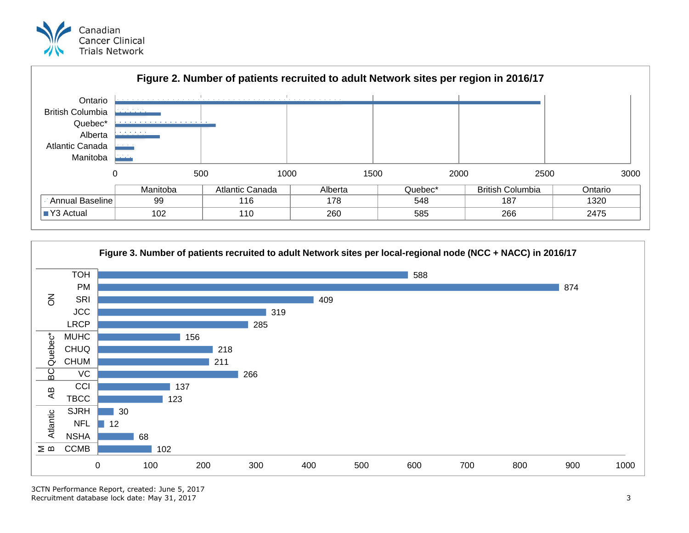



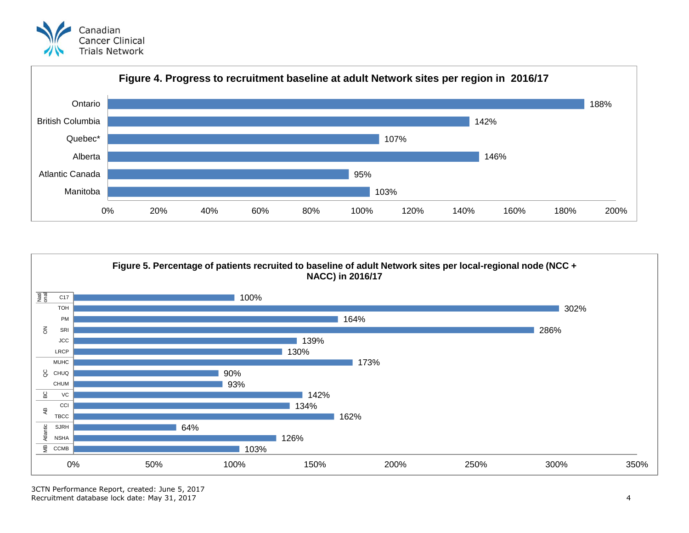





3CTN Performance Report, created: June 5, 2017 Recruitment database lock date: May 31, 2017 4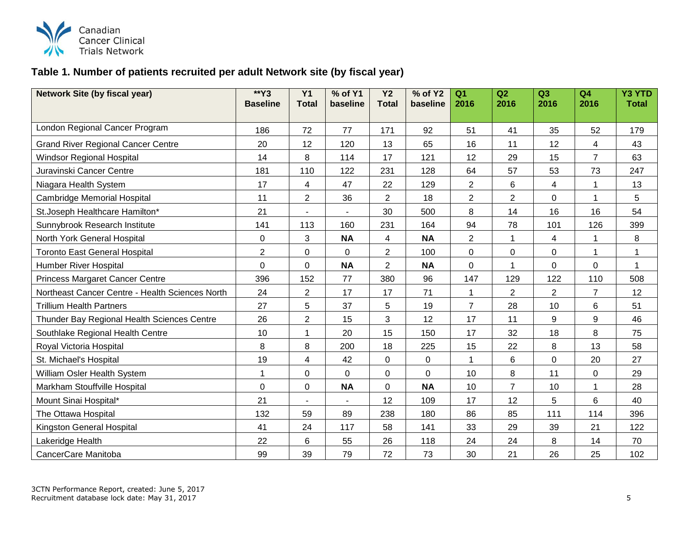

# **Table 1. Number of patients recruited per adult Network site (by fiscal year)**

| <b>Network Site (by fiscal year)</b>            | $*$ Y3           | $\overline{Y1}$ | % of Y1   | $\overline{Y}$ | $%$ of Y2   | Q <sub>1</sub> | Q2             | Q <sub>3</sub> | Q <sub>4</sub> | <b>Y3 YTD</b> |
|-------------------------------------------------|------------------|-----------------|-----------|----------------|-------------|----------------|----------------|----------------|----------------|---------------|
|                                                 | <b>Baseline</b>  | <b>Total</b>    | baseline  | <b>Total</b>   | baseline    | 2016           | 2016           | 2016           | 2016           | <b>Total</b>  |
| London Regional Cancer Program                  | 186              | 72              | 77        | 171            | 92          | 51             | 41             | 35             | 52             | 179           |
| <b>Grand River Regional Cancer Centre</b>       | 20               | 12              | 120       | 13             | 65          | 16             | 11             | 12             | 4              | 43            |
| <b>Windsor Regional Hospital</b>                | 14               | 8               | 114       | 17             | 121         | 12             | 29             | 15             | $\overline{7}$ | 63            |
| Juravinski Cancer Centre                        | 181              | 110             | 122       | 231            | 128         | 64             | 57             | 53             | 73             | 247           |
| Niagara Health System                           | 17               | 4               | 47        | 22             | 129         | $\mathbf{2}$   | 6              | 4              | 1              | 13            |
| Cambridge Memorial Hospital                     | 11               | $\overline{2}$  | 36        | $\overline{2}$ | 18          | $\overline{2}$ | $\overline{2}$ | 0              | 1              | 5             |
| St.Joseph Healthcare Hamilton*                  | 21               | $\blacksquare$  |           | 30             | 500         | 8              | 14             | 16             | 16             | 54            |
| Sunnybrook Research Institute                   | 141              | 113             | 160       | 231            | 164         | 94             | 78             | 101            | 126            | 399           |
| North York General Hospital                     | $\boldsymbol{0}$ | 3               | <b>NA</b> | $\overline{4}$ | <b>NA</b>   | $\overline{2}$ | 1              | 4              | 1              | 8             |
| <b>Toronto East General Hospital</b>            | 2                | 0               | 0         | $\overline{2}$ | 100         | $\mathsf 0$    | $\pmb{0}$      | 0              | 1              | 1             |
| <b>Humber River Hospital</b>                    | $\mathbf 0$      | $\mathbf 0$     | <b>NA</b> | $\overline{2}$ | <b>NA</b>   | $\mathbf 0$    | $\mathbf{1}$   | 0              | $\mathbf 0$    | $\mathbf{1}$  |
| <b>Princess Margaret Cancer Centre</b>          | 396              | 152             | 77        | 380            | 96          | 147            | 129            | 122            | 110            | 508           |
| Northeast Cancer Centre - Health Sciences North | 24               | $\overline{c}$  | 17        | 17             | 71          | 1              | $\mathbf{2}$   | $\overline{2}$ | $\overline{7}$ | 12            |
| <b>Trillium Health Partners</b>                 | 27               | 5               | 37        | 5              | 19          | $\overline{7}$ | 28             | 10             | $6\phantom{a}$ | 51            |
| Thunder Bay Regional Health Sciences Centre     | 26               | $\overline{2}$  | 15        | $\mathbf{3}$   | 12          | 17             | 11             | 9              | 9              | 46            |
| Southlake Regional Health Centre                | 10               |                 | 20        | 15             | 150         | 17             | 32             | 18             | 8              | 75            |
| Royal Victoria Hospital                         | 8                | 8               | 200       | 18             | 225         | 15             | 22             | 8              | 13             | 58            |
| St. Michael's Hospital                          | 19               | $\overline{4}$  | 42        | $\mathbf 0$    | $\mathbf 0$ | $\overline{1}$ | 6              | $\mathbf 0$    | 20             | 27            |
| William Osler Health System                     | 1                | 0               | $\Omega$  | 0              | $\Omega$    | 10             | 8              | 11             | 0              | 29            |
| Markham Stouffville Hospital                    | $\mathbf 0$      | $\mathbf 0$     | <b>NA</b> | $\mathbf 0$    | <b>NA</b>   | 10             | $\overline{7}$ | 10             | 1              | 28            |
| Mount Sinai Hospital*                           | 21               | $\blacksquare$  |           | 12             | 109         | 17             | 12             | 5              | 6              | 40            |
| The Ottawa Hospital                             | 132              | 59              | 89        | 238            | 180         | 86             | 85             | 111            | 114            | 396           |
| Kingston General Hospital                       | 41               | 24              | 117       | 58             | 141         | 33             | 29             | 39             | 21             | 122           |
| Lakeridge Health                                | 22               | 6               | 55        | 26             | 118         | 24             | 24             | 8              | 14             | 70            |
| CancerCare Manitoba                             | 99               | 39              | 79        | 72             | 73          | 30             | 21             | 26             | 25             | 102           |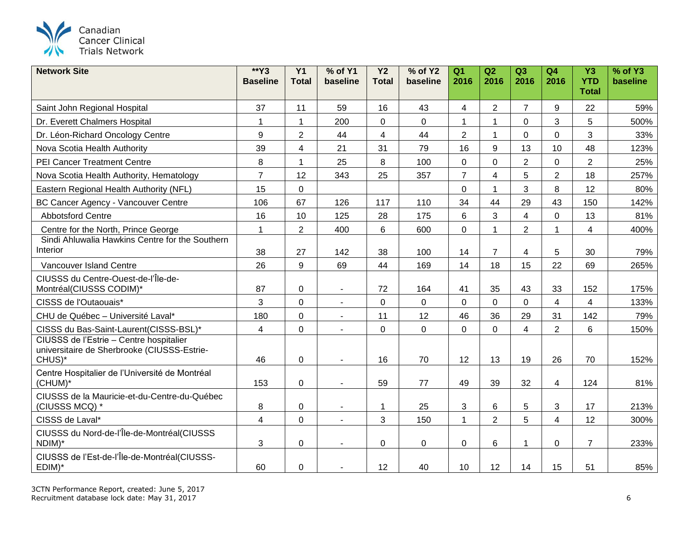

| <b>Network Site</b>                                                                              | $*Y3$<br><b>Baseline</b> | Y1<br><b>Total</b>      | % of Y1<br>baseline      | <b>Y2</b><br><b>Total</b> | % of Y2<br>baseline | Q <sub>1</sub><br>2016 | Q2<br>2016     | Q3<br>2016     | Q <sub>4</sub><br>2016 | <b>Y3</b><br><b>YTD</b> | % of Y3<br>baseline |
|--------------------------------------------------------------------------------------------------|--------------------------|-------------------------|--------------------------|---------------------------|---------------------|------------------------|----------------|----------------|------------------------|-------------------------|---------------------|
|                                                                                                  |                          |                         |                          |                           |                     |                        |                |                |                        | <b>Total</b>            |                     |
| Saint John Regional Hospital                                                                     | 37                       | 11                      | 59                       | 16                        | 43                  | 4                      | $\overline{2}$ | $\overline{7}$ | 9                      | 22                      | 59%                 |
| Dr. Everett Chalmers Hospital                                                                    | $\overline{1}$           | $\mathbf{1}$            | 200                      | 0                         | $\mathbf 0$         |                        | 1              | $\mathbf 0$    | 3                      | 5                       | 500%                |
| Dr. Léon-Richard Oncology Centre                                                                 | $9\,$                    | $\overline{2}$          | 44                       | 4                         | 44                  | $\overline{2}$         | $\mathbf{1}$   | $\mathbf 0$    | $\mathbf 0$            | 3                       | 33%                 |
| Nova Scotia Health Authority                                                                     | 39                       | $\overline{\mathbf{4}}$ | 21                       | 31                        | 79                  | 16                     | 9              | 13             | 10                     | 48                      | 123%                |
| PEI Cancer Treatment Centre                                                                      | 8                        | $\mathbf{1}$            | 25                       | 8                         | 100                 | $\mathbf 0$            | $\mathbf 0$    | $\overline{2}$ | $\mathbf 0$            | $\overline{2}$          | 25%                 |
| Nova Scotia Health Authority, Hematology                                                         | $\overline{7}$           | 12                      | 343                      | 25                        | 357                 | $\overline{7}$         | $\overline{4}$ | 5              | $\overline{2}$         | 18                      | 257%                |
| Eastern Regional Health Authority (NFL)                                                          | 15                       | $\mathsf{O}\xspace$     |                          |                           |                     | $\mathbf 0$            | $\mathbf{1}$   | 3              | 8                      | 12                      | 80%                 |
| BC Cancer Agency - Vancouver Centre                                                              | 106                      | 67                      | 126                      | 117                       | 110                 | 34                     | 44             | 29             | 43                     | 150                     | 142%                |
| <b>Abbotsford Centre</b>                                                                         | 16                       | 10                      | 125                      | 28                        | 175                 | 6                      | 3              | $\overline{4}$ | $\mathbf 0$            | 13                      | 81%                 |
| Centre for the North, Prince George                                                              | $\mathbf{1}$             | $\overline{2}$          | 400                      | $6\phantom{1}$            | 600                 | $\mathbf 0$            | $\mathbf{1}$   | $\overline{2}$ | 1                      | $\overline{4}$          | 400%                |
| Sindi Ahluwalia Hawkins Centre for the Southern<br>Interior                                      | 38                       | 27                      | 142                      | 38                        | 100                 | 14                     | $\overline{7}$ | 4              | 5                      | 30                      | 79%                 |
| Vancouver Island Centre                                                                          | 26                       | 9                       | 69                       | 44                        | 169                 | 14                     | 18             | 15             | 22                     | 69                      | 265%                |
| CIUSSS du Centre-Ouest-de-l'Île-de-<br>Montréal(CIUSSS CODIM)*                                   | 87                       | $\mathbf 0$             | $\sim$                   | 72                        | 164                 | 41                     | 35             | 43             | 33                     | 152                     | 175%                |
| CISSS de l'Outaouais*                                                                            | 3                        | $\pmb{0}$               | $\blacksquare$           | 0                         | $\mathbf 0$         | $\mathbf 0$            | $\mathbf 0$    | $\mathbf 0$    | $\overline{4}$         | $\overline{4}$          | 133%                |
| CHU de Québec - Université Laval*                                                                | 180                      | $\mathbf 0$             | $\blacksquare$           | 11                        | 12                  | 46                     | 36             | 29             | 31                     | 142                     | 79%                 |
| CISSS du Bas-Saint-Laurent(CISSS-BSL)*                                                           | $\overline{4}$           | $\mathbf 0$             | $\sim$                   | 0                         | $\mathbf 0$         | $\mathbf 0$            | $\Omega$       | 4              | $\overline{2}$         | 6                       | 150%                |
| CIUSSS de l'Estrie - Centre hospitalier<br>universitaire de Sherbrooke (CIUSSS-Estrie-<br>CHUS)* | 46                       | $\mathbf 0$             |                          | 16                        | 70                  | 12                     | 13             | 19             | 26                     | 70                      | 152%                |
| Centre Hospitalier de l'Université de Montréal<br>(CHUM)*                                        | 153                      | $\mathbf 0$             |                          | 59                        | 77                  | 49                     | 39             | 32             | 4                      | 124                     | 81%                 |
| CIUSSS de la Mauricie-et-du-Centre-du-Québec<br>(CIUSSS MCQ) *                                   | 8                        | $\mathbf 0$             | $\blacksquare$           | 1                         | 25                  | $\sqrt{3}$             | 6              | 5              | 3                      | 17                      | 213%                |
| CISSS de Laval*                                                                                  | $\overline{\mathbf{4}}$  | $\mathbf 0$             | $\overline{a}$           | 3                         | 150                 | $\overline{1}$         | $\overline{2}$ | 5              | $\overline{4}$         | 12                      | 300%                |
| CIUSSS du Nord-de-l'Île-de-Montréal(CIUSSS<br>NDIM)*                                             | $\mathbf{3}$             | $\mathbf 0$             | $\overline{\phantom{a}}$ | 0                         | 0                   | 0                      | 6              | 1              | 0                      | $\overline{7}$          | 233%                |
| CIUSSS de l'Est-de-l'Île-de-Montréal(CIUSSS-<br>EDIM)*                                           | 60                       | $\pmb{0}$               |                          | 12                        | 40                  | 10                     | 12             | 14             | 15                     | 51                      | 85%                 |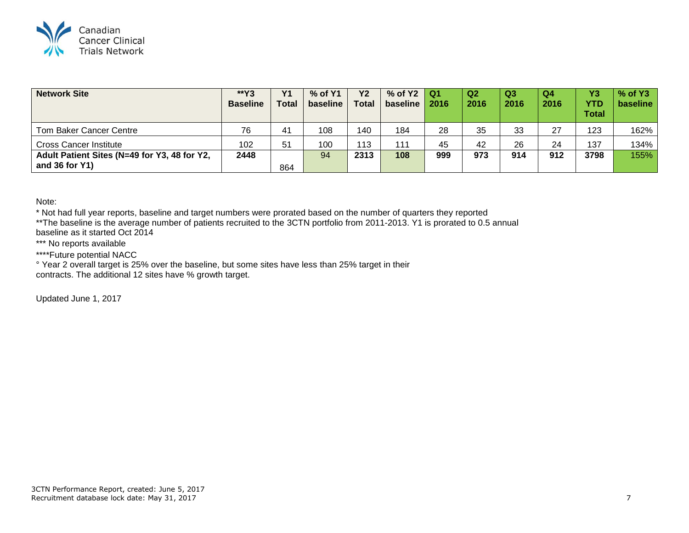

| <b>Network Site</b>                                                 | **Y3<br><b>Baseline</b> | Y <sub>1</sub><br><b>Total</b> | % of Y1<br>baseline | <b>Y2</b><br><b>Total</b> | % of $Y2$   Q1<br>baseline | 2016 | <b>Q2</b><br>2016 | Q3<br>2016 | Q4<br>2016 | Y3<br><b>YTD</b><br><b>Total</b> | $%$ of Y3<br>baseline |
|---------------------------------------------------------------------|-------------------------|--------------------------------|---------------------|---------------------------|----------------------------|------|-------------------|------------|------------|----------------------------------|-----------------------|
| Tom Baker Cancer Centre                                             | 76                      | 41                             | 108                 | 140                       | 184                        | 28   | 35                | 33         | 27         | 123                              | 162%                  |
| <b>Cross Cancer Institute</b>                                       | 102                     | 51                             | 100                 | 113                       | 111                        | 45   | 42                | 26         | 24         | 137                              | 134%                  |
| Adult Patient Sites (N=49 for Y3, 48 for Y2,<br>and $36$ for $Y1$ ) | 2448                    | 864                            | 94                  | 2313                      | 108                        | 999  | 973               | 914        | 912        | 3798                             | 155%                  |

Note:

\* Not had full year reports, baseline and target numbers were prorated based on the number of quarters they reported \*\*The baseline is the average number of patients recruited to the 3CTN portfolio from 2011-2013. Y1 is prorated to 0.5 annual

baseline as it started Oct 2014

\*\*\* No reports available

\*\*\*\*Future potential NACC

° Year 2 overall target is 25% over the baseline, but some sites have less than 25% target in their contracts. The additional 12 sites have % growth target.

Updated June 1, 2017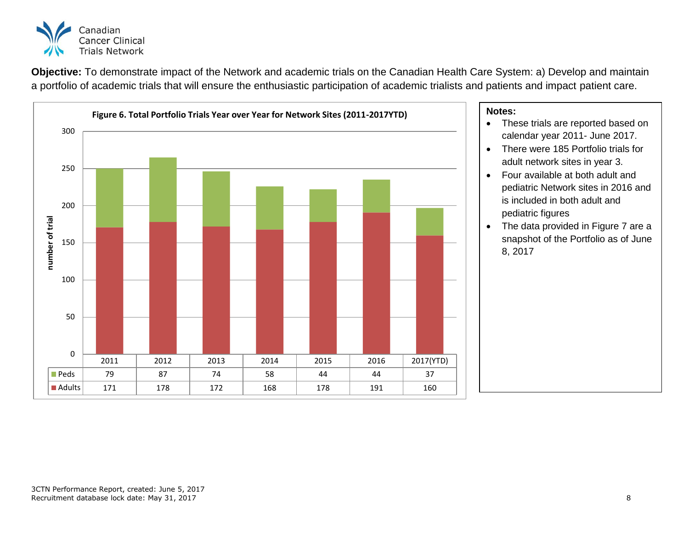

**Objective:** To demonstrate impact of the Network and academic trials on the Canadian Health Care System: a) Develop and maintain a portfolio of academic trials that will ensure the enthusiastic participation of academic trialists and patients and impact patient care.



- These trials are reported based on calendar year 2011- June 2017.
- There were 185 Portfolio trials for adult network sites in year 3.
- Four available at both adult and pediatric Network sites in 2016 and is included in both adult and pediatric figures
- The data provided in Figure 7 are a snapshot of the Portfolio as of June 8, 2017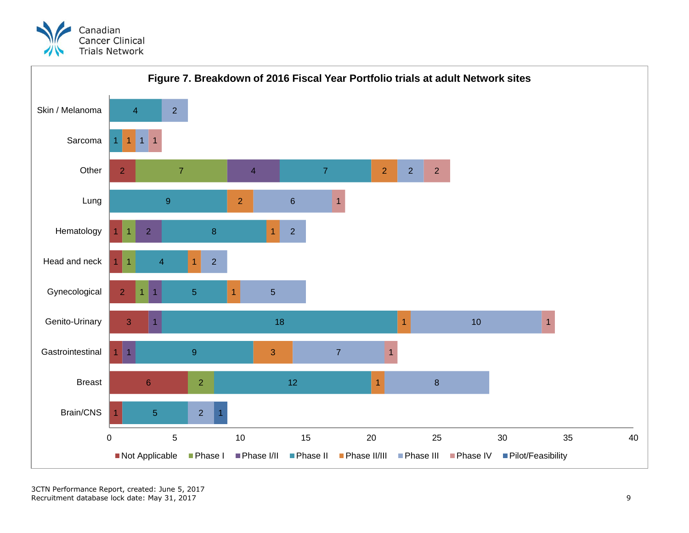



3CTN Performance Report, created: June 5, 2017 Recruitment database lock date: May 31, 2017 99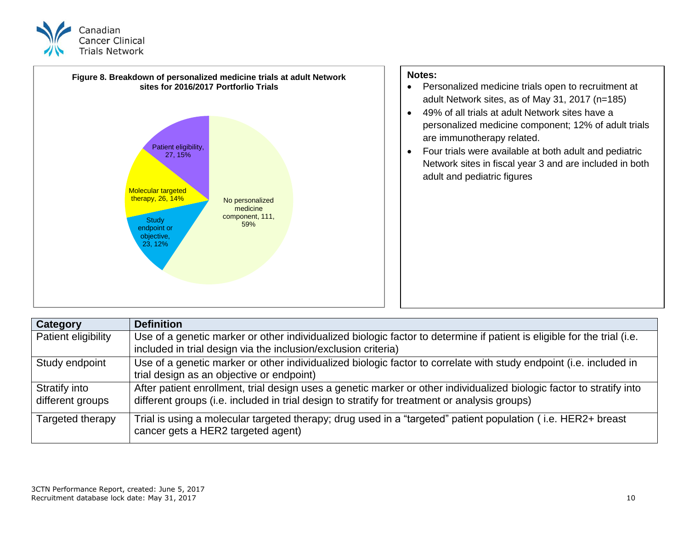



| <b>Category</b>                   | <b>Definition</b>                                                                                                                                                                                                      |
|-----------------------------------|------------------------------------------------------------------------------------------------------------------------------------------------------------------------------------------------------------------------|
| Patient eligibility               | Use of a genetic marker or other individualized biologic factor to determine if patient is eligible for the trial (i.e.<br>included in trial design via the inclusion/exclusion criteria)                              |
| Study endpoint                    | Use of a genetic marker or other individualized biologic factor to correlate with study endpoint (i.e. included in<br>trial design as an objective or endpoint)                                                        |
| Stratify into<br>different groups | After patient enrollment, trial design uses a genetic marker or other individualized biologic factor to stratify into<br>different groups (i.e. included in trial design to stratify for treatment or analysis groups) |
| Targeted therapy                  | Trial is using a molecular targeted therapy; drug used in a "targeted" patient population (i.e. HER2+ breast<br>cancer gets a HER2 targeted agent)                                                                     |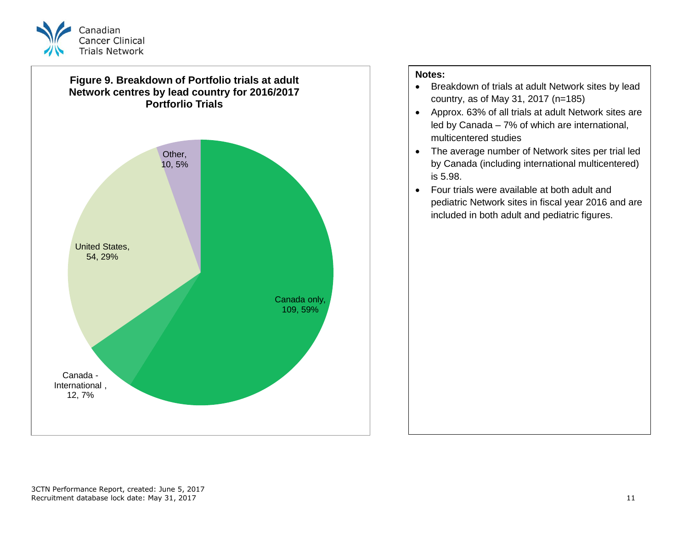



# **Notes:**

- Breakdown of trials at adult Network sites by lead country, as of May 31, 2017 (n=185)
- Approx. 63% of all trials at adult Network sites are led by Canada – 7% of which are international, multicentered studies
- The average number of Network sites per trial led by Canada (including international multicentered) is 5.98.
- Four trials were available at both adult and pediatric Network sites in fiscal year 2016 and are included in both adult and pediatric figures.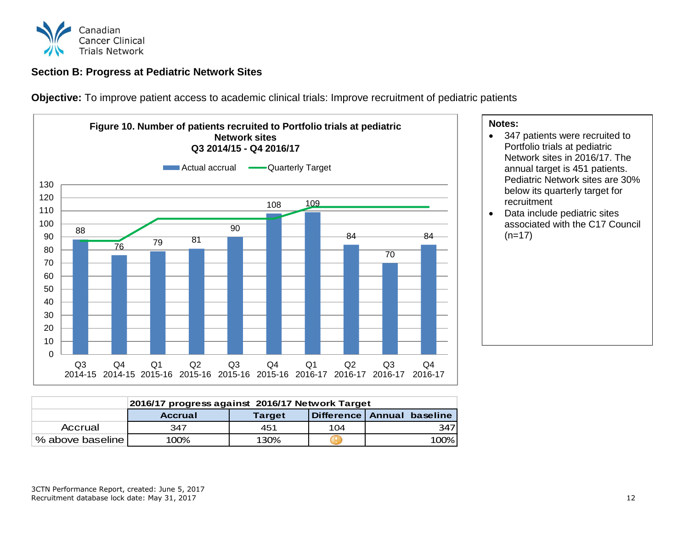![](_page_12_Picture_0.jpeg)

# <span id="page-12-0"></span>**Section B: Progress at Pediatric Network Sites**

**Objective:** To improve patient access to academic clinical trials: Improve recruitment of pediatric patients

![](_page_12_Figure_3.jpeg)

### **Notes:**

- 347 patients were recruited to Portfolio trials at pediatric Network sites in 2016/17. The annual target is 451 patients. Pediatric Network sites are 30% below its quarterly target for recruitment
- Data include pediatric sites associated with the C17 Council  $(n=17)$

|                  | 2016/17 progress against 2016/17 Network Target |               |     |                            |  |  |  |
|------------------|-------------------------------------------------|---------------|-----|----------------------------|--|--|--|
|                  | <b>Accrual</b>                                  | <b>Target</b> |     | Difference Annual baseline |  |  |  |
| Accrual          | 347                                             | 451           | 104 | 347                        |  |  |  |
| % above baseline | 100%                                            | 130%          |     | 100%                       |  |  |  |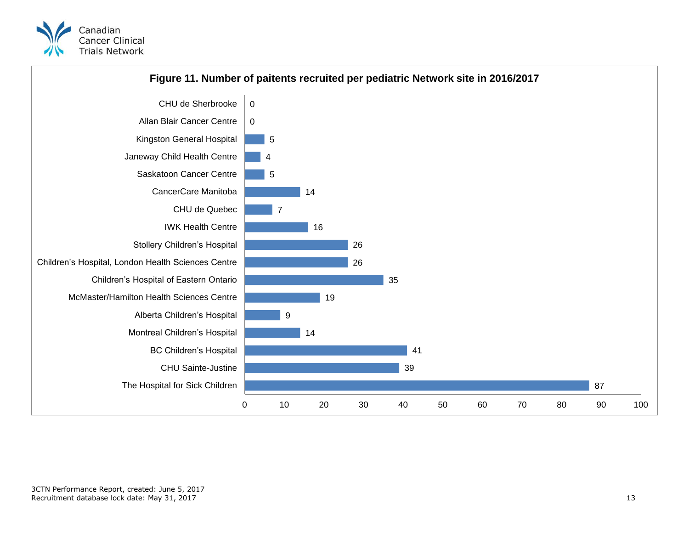![](_page_13_Picture_0.jpeg)

![](_page_13_Figure_1.jpeg)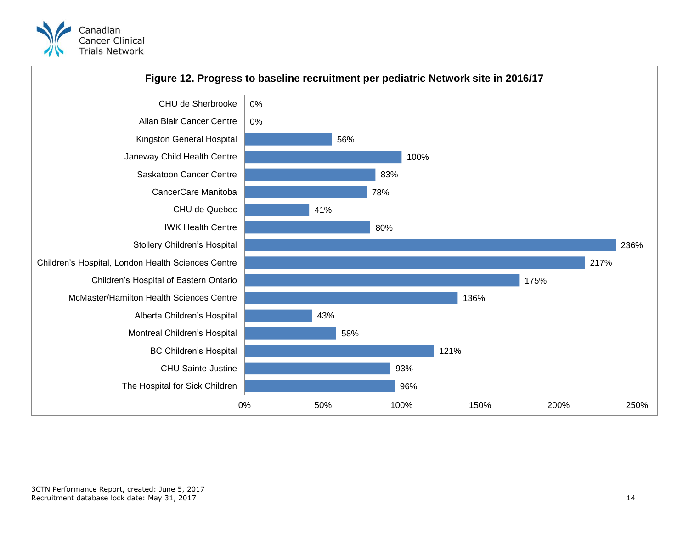![](_page_14_Picture_0.jpeg)

![](_page_14_Figure_1.jpeg)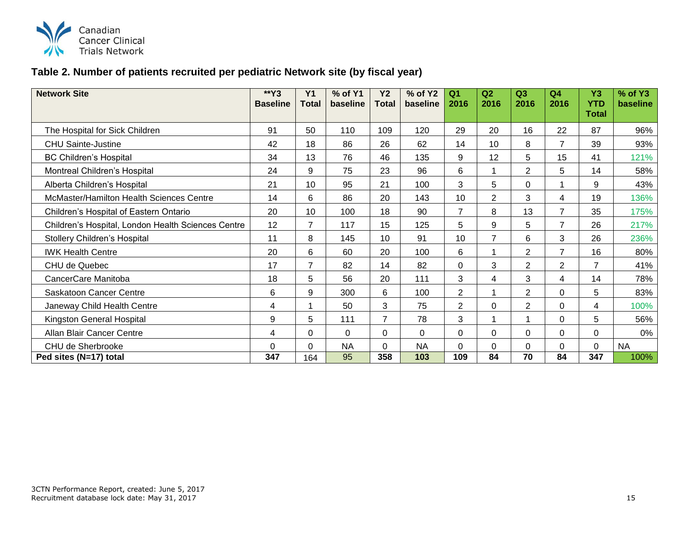![](_page_15_Picture_0.jpeg)

# **Table 2. Number of patients recruited per pediatric Network site (by fiscal year)**

| <b>Network Site</b>                                | $*Y3$<br><b>Baseline</b> | Y <sub>1</sub><br><b>Total</b> | % of Y1<br>baseline | <b>Y2</b><br><b>Total</b> | % of Y2<br>baseline | Q <sub>1</sub><br>2016 | Q <sub>2</sub><br>2016 | Q3<br>2016     | Q <sub>4</sub><br>2016 | <b>Y3</b><br><b>YTD</b> | % of Y3<br>baseline |
|----------------------------------------------------|--------------------------|--------------------------------|---------------------|---------------------------|---------------------|------------------------|------------------------|----------------|------------------------|-------------------------|---------------------|
|                                                    |                          |                                |                     |                           |                     |                        |                        |                |                        | Total                   |                     |
| The Hospital for Sick Children                     | 91                       | 50                             | 110                 | 109                       | 120                 | 29                     | 20                     | 16             | 22                     | 87                      | 96%                 |
| <b>CHU Sainte-Justine</b>                          | 42                       | 18                             | 86                  | 26                        | 62                  | 14                     | 10                     | 8              | $\overline{7}$         | 39                      | 93%                 |
| <b>BC Children's Hospital</b>                      | 34                       | 13                             | 76                  | 46                        | 135                 | 9                      | 12                     | 5              | 15                     | 41                      | 121%                |
| Montreal Children's Hospital                       | 24                       | 9                              | 75                  | 23                        | 96                  | 6                      |                        | $\overline{2}$ | 5                      | 14                      | 58%                 |
| Alberta Children's Hospital                        | 21                       | 10                             | 95                  | 21                        | 100                 | 3                      | 5                      | $\Omega$       |                        | 9                       | 43%                 |
| McMaster/Hamilton Health Sciences Centre           | 14                       | 6                              | 86                  | 20                        | 143                 | 10                     | $\overline{2}$         | 3              | $\overline{4}$         | 19                      | 136%                |
| Children's Hospital of Eastern Ontario             | 20                       | 10                             | 100                 | 18                        | 90                  | $\overline{7}$         | 8                      | 13             | $\overline{7}$         | 35                      | 175%                |
| Children's Hospital, London Health Sciences Centre | 12                       | $\overline{7}$                 | 117                 | 15                        | 125                 | 5                      | 9                      | 5              | $\overline{7}$         | 26                      | 217%                |
| Stollery Children's Hospital                       | 11                       | 8                              | 145                 | 10                        | 91                  | 10                     | $\overline{7}$         | 6              | 3                      | 26                      | 236%                |
| <b>IWK Health Centre</b>                           | 20                       | 6                              | 60                  | 20                        | 100                 | 6                      |                        | 2              | $\overline{7}$         | 16                      | 80%                 |
| CHU de Quebec                                      | 17                       | $\overline{7}$                 | 82                  | 14                        | 82                  | $\mathbf 0$            | 3                      | $\overline{2}$ | $\overline{2}$         | 7                       | 41%                 |
| CancerCare Manitoba                                | 18                       | 5                              | 56                  | 20                        | 111                 | 3                      | 4                      | 3              | $\overline{4}$         | 14                      | 78%                 |
| Saskatoon Cancer Centre                            | 6                        | 9                              | 300                 | 6                         | 100                 | $\overline{2}$         |                        | 2              | $\Omega$               | 5                       | 83%                 |
| Janeway Child Health Centre                        | 4                        |                                | 50                  | 3                         | 75                  | $\overline{2}$         | $\Omega$               | $\overline{2}$ | $\Omega$               | 4                       | 100%                |
| Kingston General Hospital                          | 9                        | 5                              | 111                 | $\overline{7}$            | 78                  | 3                      |                        |                | $\Omega$               | 5                       | 56%                 |
| Allan Blair Cancer Centre                          | 4                        | $\Omega$                       | $\Omega$            | 0                         | $\Omega$            | $\Omega$               | $\Omega$               | $\Omega$       | $\Omega$               | $\Omega$                | 0%                  |
| CHU de Sherbrooke                                  | $\Omega$                 | 0                              | <b>NA</b>           | 0                         | <b>NA</b>           | $\Omega$               | $\Omega$               | $\Omega$       | $\Omega$               | $\Omega$                | <b>NA</b>           |
| Ped sites (N=17) total                             | 347                      | 164                            | 95                  | 358                       | 103                 | 109                    | 84                     | 70             | 84                     | 347                     | 100%                |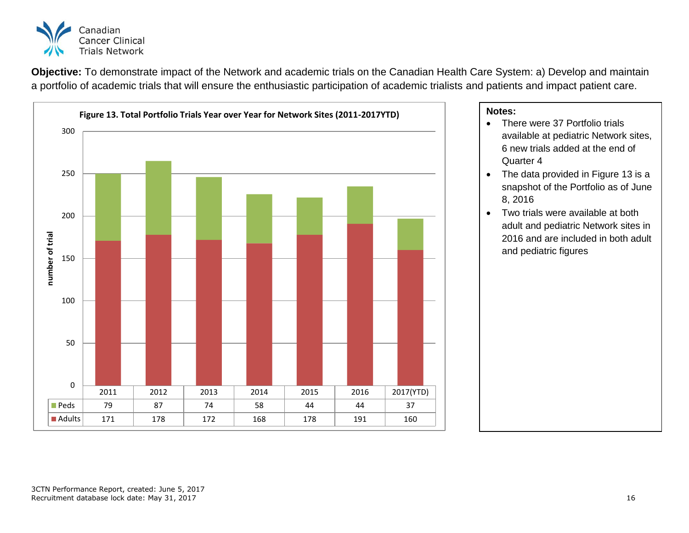![](_page_16_Picture_0.jpeg)

**Objective:** To demonstrate impact of the Network and academic trials on the Canadian Health Care System: a) Develop and maintain a portfolio of academic trials that will ensure the enthusiastic participation of academic trialists and patients and impact patient care.

![](_page_16_Figure_2.jpeg)

- There were 37 Portfolio trials available at pediatric Network sites, 6 new trials added at the end of Quarter 4
- The data provided in Figure 13 is a snapshot of the Portfolio as of June 8, 2016
- Two trials were available at both adult and pediatric Network sites in 2016 and are included in both adult and pediatric figures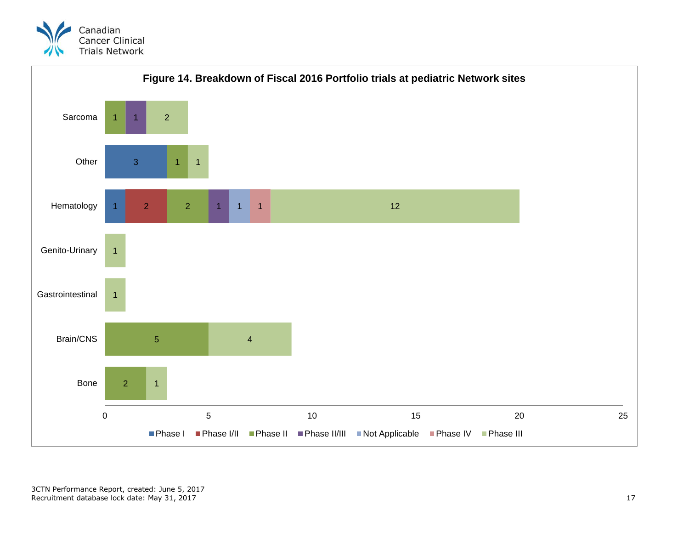![](_page_17_Picture_0.jpeg)

![](_page_17_Figure_1.jpeg)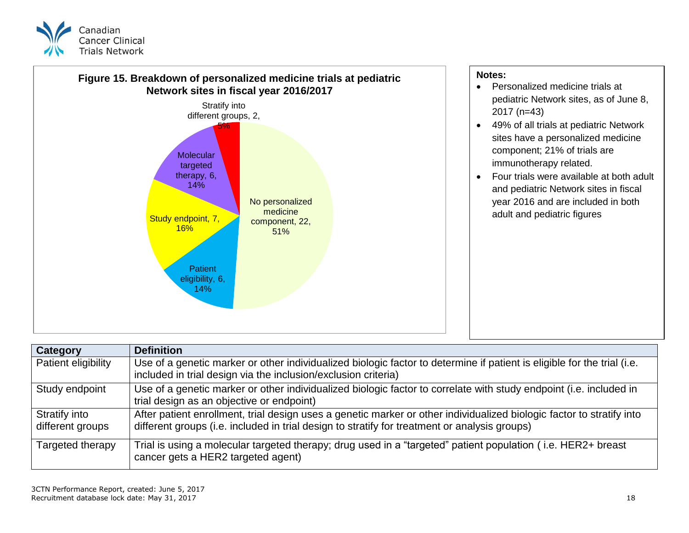![](_page_18_Picture_0.jpeg)

![](_page_18_Figure_1.jpeg)

| Category                          | <b>Definition</b>                                                                                                                                                                                                      |
|-----------------------------------|------------------------------------------------------------------------------------------------------------------------------------------------------------------------------------------------------------------------|
| Patient eligibility               | Use of a genetic marker or other individualized biologic factor to determine if patient is eligible for the trial (i.e.<br>included in trial design via the inclusion/exclusion criteria)                              |
| Study endpoint                    | Use of a genetic marker or other individualized biologic factor to correlate with study endpoint (i.e. included in<br>trial design as an objective or endpoint)                                                        |
| Stratify into<br>different groups | After patient enrollment, trial design uses a genetic marker or other individualized biologic factor to stratify into<br>different groups (i.e. included in trial design to stratify for treatment or analysis groups) |
| Targeted therapy                  | Trial is using a molecular targeted therapy; drug used in a "targeted" patient population (i.e. HER2+ breast<br>cancer gets a HER2 targeted agent)                                                                     |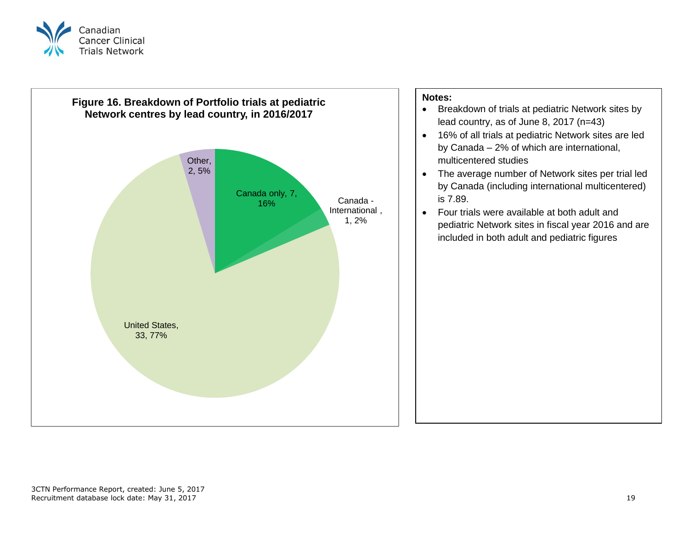![](_page_19_Picture_0.jpeg)

![](_page_19_Figure_1.jpeg)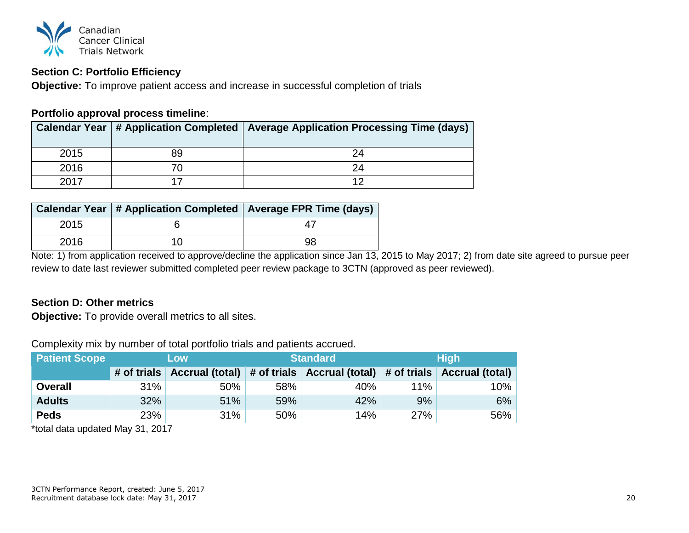![](_page_20_Picture_0.jpeg)

# <span id="page-20-0"></span>**Section C: Portfolio Efficiency**

**Objective:** To improve patient access and increase in successful completion of trials

# **Portfolio approval process timeline**:

|      |    | Calendar Year   # Application Completed   Average Application Processing Time (days) |
|------|----|--------------------------------------------------------------------------------------|
| 2015 | 89 | 24                                                                                   |
| 2016 |    |                                                                                      |
| 2017 |    |                                                                                      |

|      |     | Calendar Year   # Application Completed   Average FPR Time (days) |
|------|-----|-------------------------------------------------------------------|
| 2015 |     |                                                                   |
| 2016 | 1 በ | 98                                                                |

Note: 1) from application received to approve/decline the application since Jan 13, 2015 to May 2017; 2) from date site agreed to pursue peer review to date last reviewer submitted completed peer review package to 3CTN (approved as peer reviewed).

# <span id="page-20-1"></span>**Section D: Other metrics**

**Objective:** To provide overall metrics to all sites.

**Patient Scope Low Low Standard High # of trials Accrual (total) # of trials Accrual (total) # of trials Accrual (total) Overall** 31% 50% 58% 40% 11% 10% **Adults** 32% 51% 59% 42% 9% 6% **Peds 23% 31% 50% 14% 27% 56%** 

Complexity mix by number of total portfolio trials and patients accrued.

\*total data updated May 31, 2017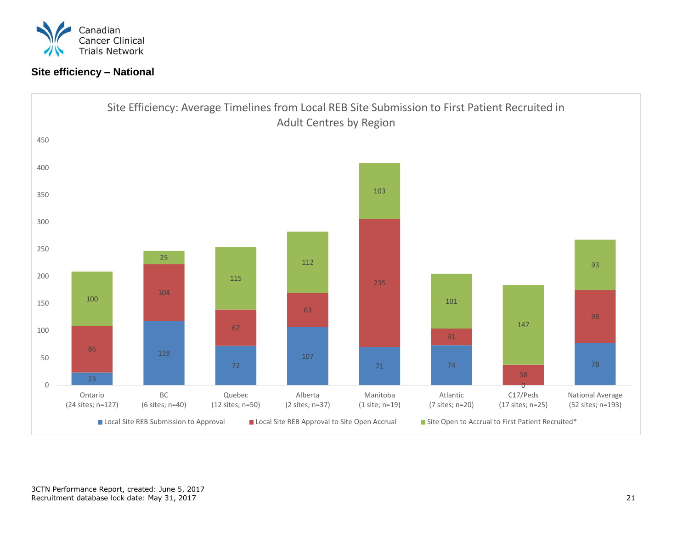![](_page_21_Picture_0.jpeg)

# **Site efficiency – National**

![](_page_21_Figure_2.jpeg)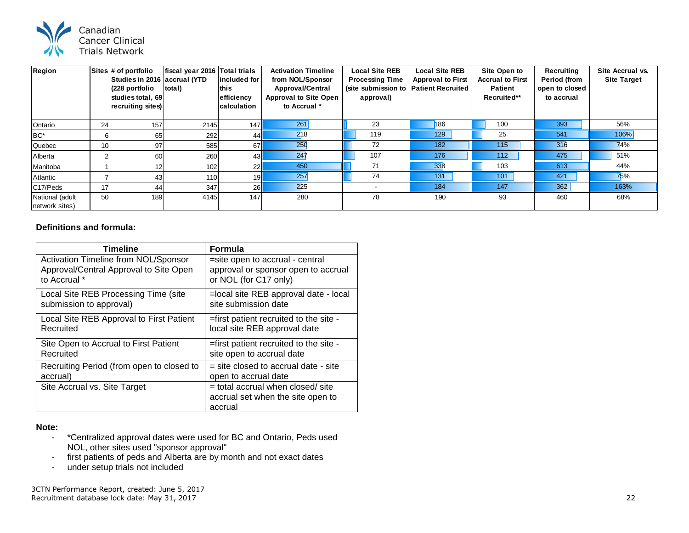![](_page_22_Picture_0.jpeg)

| Region                            |                 | Sites # of portfolio<br>Studies in 2016 accrual (YTD<br>(228 portfolio<br>studies total, 69<br>recruiting sites) | fiscal year 2016<br>total) | <b>Total trials</b><br>lincluded for<br>lthis<br>efficiency<br><b>Icalculation</b> | <b>Activation Timeline</b><br>from NOL/Sponsor<br><b>Approval/Central</b><br><b>Approval to Site Open</b><br>to Accrual * | <b>Local Site REB</b><br><b>Processing Time</b><br>(site submission to   Patient Recruited<br>approval) | <b>Local Site REB</b><br><b>Approval to First</b> | Site Open to<br><b>Accrual to First</b><br><b>Patient</b><br>Recruited** | Recruiting<br><b>Period (from</b><br>open to closed<br>to accrual | Site Accrual vs.<br><b>Site Target</b> |
|-----------------------------------|-----------------|------------------------------------------------------------------------------------------------------------------|----------------------------|------------------------------------------------------------------------------------|---------------------------------------------------------------------------------------------------------------------------|---------------------------------------------------------------------------------------------------------|---------------------------------------------------|--------------------------------------------------------------------------|-------------------------------------------------------------------|----------------------------------------|
| Ontario                           | 24 <sub>1</sub> | 157                                                                                                              | 2145                       | 147l                                                                               | 261                                                                                                                       | 23                                                                                                      | 186                                               | 100                                                                      | 393                                                               | 56%                                    |
| BC*                               |                 | 65                                                                                                               | 292                        | 44                                                                                 | 218                                                                                                                       | 119                                                                                                     | 129                                               | 25                                                                       | 541                                                               | 106%                                   |
| Quebec                            | 10              | 97                                                                                                               | 585                        | 67I                                                                                | 250                                                                                                                       | 72                                                                                                      | 182                                               | 115                                                                      | 316                                                               | 74%                                    |
| Alberta                           |                 | 60                                                                                                               | 260                        | 43 <sub>l</sub>                                                                    | 247                                                                                                                       | 107                                                                                                     | 176                                               | 112                                                                      | 475                                                               | 51%                                    |
| Manitoba                          |                 |                                                                                                                  | 102                        | 22                                                                                 | 450                                                                                                                       | 71                                                                                                      | 338                                               | 103                                                                      | 613                                                               | 44%                                    |
| Atlantic                          |                 | 43                                                                                                               | 110                        | 19                                                                                 | 257                                                                                                                       | 74                                                                                                      | 131                                               | 101                                                                      | 421                                                               | 75%                                    |
| C17/Peds                          | 17              | 44                                                                                                               | 347                        | 26                                                                                 | 225                                                                                                                       | $\overline{\phantom{a}}$                                                                                | 184                                               | 147                                                                      | 362                                                               | 163%                                   |
| National (adult<br>network sites) | 50              | 189                                                                                                              | 4145                       | 147                                                                                | 280                                                                                                                       | 78                                                                                                      | 190                                               | 93                                                                       | 460                                                               | 68%                                    |

## **Definitions and formula:**

| Timeline                                    | <b>Formula</b>                                                                      |
|---------------------------------------------|-------------------------------------------------------------------------------------|
| <b>Activation Timeline from NOL/Sponsor</b> | =site open to accrual - central                                                     |
| Approval/Central Approval to Site Open      | approval or sponsor open to accrual                                                 |
| to Accrual *                                | or NOL (for C17 only)                                                               |
| Local Site REB Processing Time (site        | =local site REB approval date - local                                               |
| submission to approval)                     | site submission date                                                                |
| Local Site REB Approval to First Patient    | =first patient recruited to the site -                                              |
| Recruited                                   | local site REB approval date                                                        |
| Site Open to Accrual to First Patient       | =first patient recruited to the site -                                              |
| Recruited                                   | site open to accrual date                                                           |
| Recruiting Period (from open to closed to   | $=$ site closed to accrual date - site                                              |
| accrual)                                    | open to accrual date                                                                |
| Site Accrual vs. Site Target                | $=$ total accrual when closed/ site<br>accrual set when the site open to<br>accrual |

### **Note:**

- \*Centralized approval dates were used for BC and Ontario, Peds used NOL, other sites used "sponsor approval"
- first patients of peds and Alberta are by month and not exact dates
- under setup trials not included